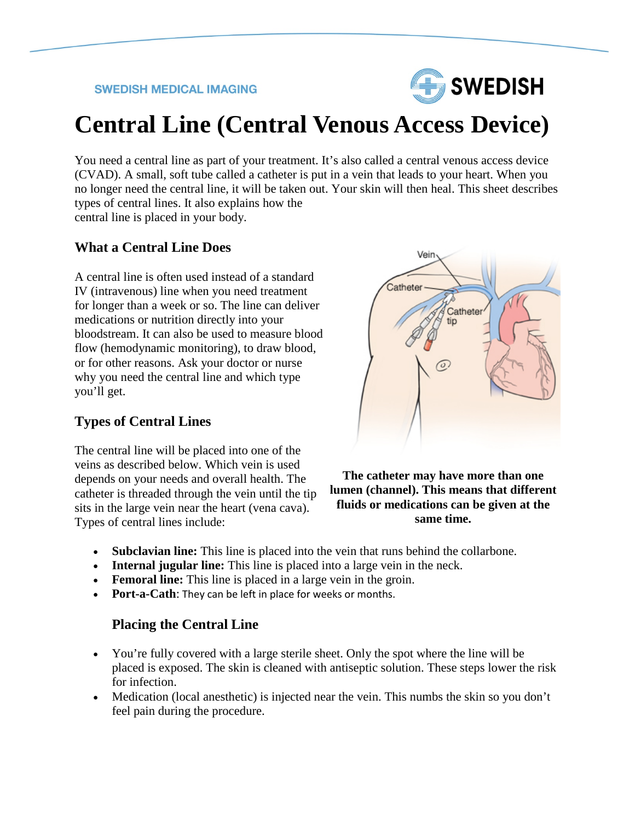#### **SWEDISH MEDICAL IMAGING**



# **Central Line (Central Venous Access Device)**

You need a central line as part of your treatment. It's also called a central venous access device (CVAD). A small, soft tube called a catheter is put in a vein that leads to your heart. When you no longer need the central line, it will be taken out. Your skin will then heal. This sheet describes types of central lines. It also explains how the central line is placed in your body.

## **What a Central Line Does**

A central line is often used instead of a standard IV (intravenous) line when you need treatment for longer than a week or so. The line can deliver medications or nutrition directly into your bloodstream. It can also be used to measure blood flow (hemodynamic monitoring), to draw blood, or for other reasons. Ask your doctor or nurse why you need the central line and which type you'll get.

## **Types of Central Lines**

The central line will be placed into one of the veins as described below. Which vein is used depends on your needs and overall health. The catheter is threaded through the vein until the tip sits in the large vein near the heart (vena cava). Types of central lines include:



### **The catheter may have more than one lumen (channel). This means that different fluids or medications can be given at the same time.**

- **Subclavian line:** This line is placed into the vein that runs behind the collarbone.
- **Internal jugular line:** This line is placed into a large vein in the neck.
- **Femoral line:** This line is placed in a large vein in the groin.
- **Port-a-Cath**: They can be left in place for weeks or months.

## **Placing the Central Line**

- You're fully covered with a large sterile sheet. Only the spot where the line will be placed is exposed. The skin is cleaned with antiseptic solution. These steps lower the risk for infection.
- Medication (local anesthetic) is injected near the vein. This numbs the skin so you don't feel pain during the procedure.